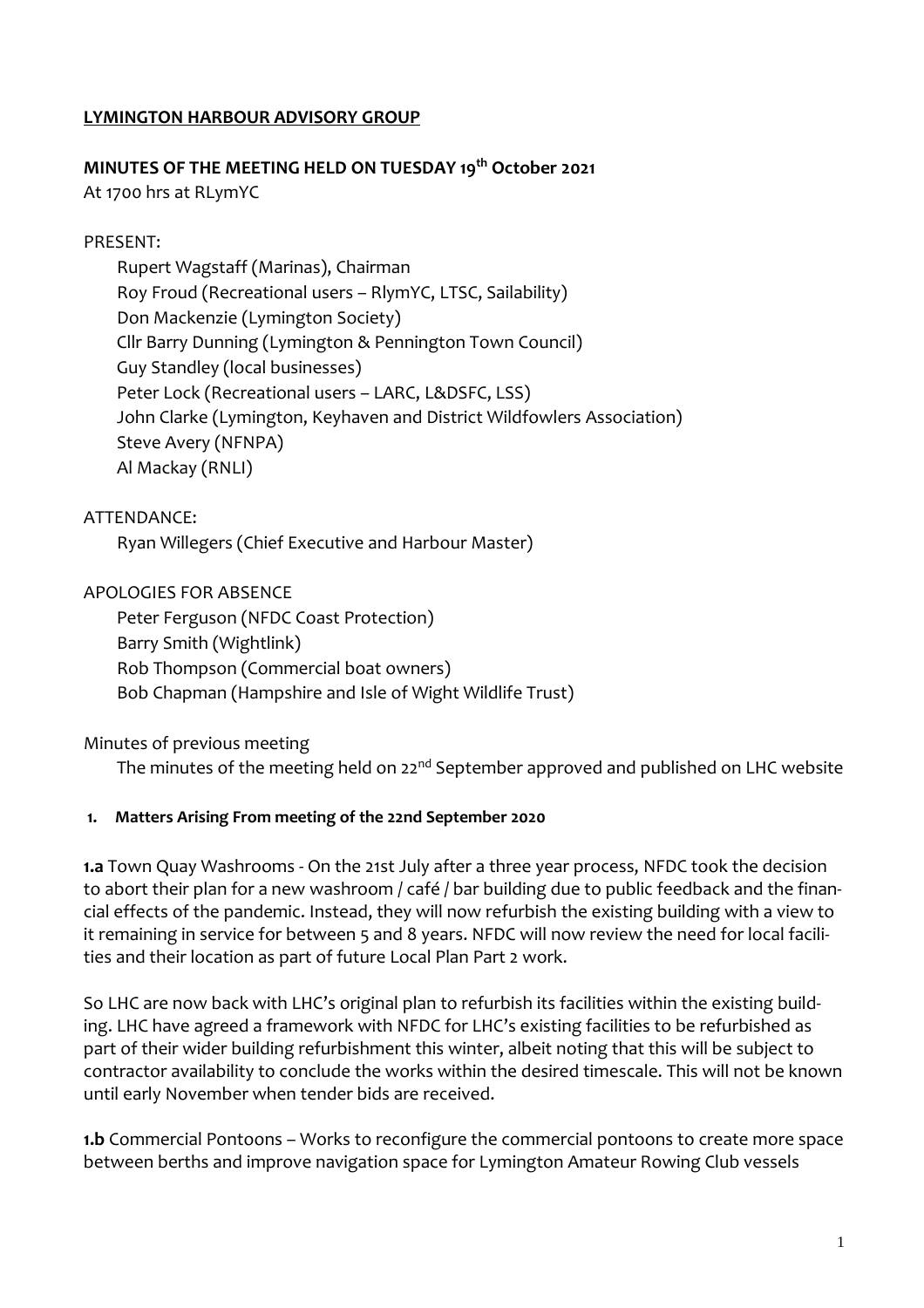### **LYMINGTON HARBOUR ADVISORY GROUP**

### **MINUTES OF THE MEETING HELD ON TUESDAY 19th October 2021**

At 1700 hrs at RLymYC

### PRESENT:

Rupert Wagstaff (Marinas), Chairman Roy Froud (Recreational users – RlymYC, LTSC, Sailability) Don Mackenzie (Lymington Society) Cllr Barry Dunning (Lymington & Pennington Town Council) Guy Standley (local businesses) Peter Lock (Recreational users – LARC, L&DSFC, LSS) John Clarke (Lymington, Keyhaven and District Wildfowlers Association) Steve Avery (NFNPA) Al Mackay (RNLI)

ATTENDANCE:

Ryan Willegers (Chief Executive and Harbour Master)

APOLOGIES FOR ABSENCE

Peter Ferguson (NFDC Coast Protection) Barry Smith (Wightlink) Rob Thompson (Commercial boat owners) Bob Chapman (Hampshire and Isle of Wight Wildlife Trust)

Minutes of previous meeting

The minutes of the meeting held on 22<sup>nd</sup> September approved and published on LHC website

#### **1. Matters Arising From meeting of the 22nd September 2020**

**1.a** Town Quay Washrooms - On the 21st July after a three year process, NFDC took the decision to abort their plan for a new washroom / café / bar building due to public feedback and the financial effects of the pandemic. Instead, they will now refurbish the existing building with a view to it remaining in service for between 5 and 8 years. NFDC will now review the need for local facilities and their location as part of future Local Plan Part 2 work.

So LHC are now back with LHC's original plan to refurbish its facilities within the existing building. LHC have agreed a framework with NFDC for LHC's existing facilities to be refurbished as part of their wider building refurbishment this winter, albeit noting that this will be subject to contractor availability to conclude the works within the desired timescale. This will not be known until early November when tender bids are received.

**1.b** Commercial Pontoons – Works to reconfigure the commercial pontoons to create more space between berths and improve navigation space for Lymington Amateur Rowing Club vessels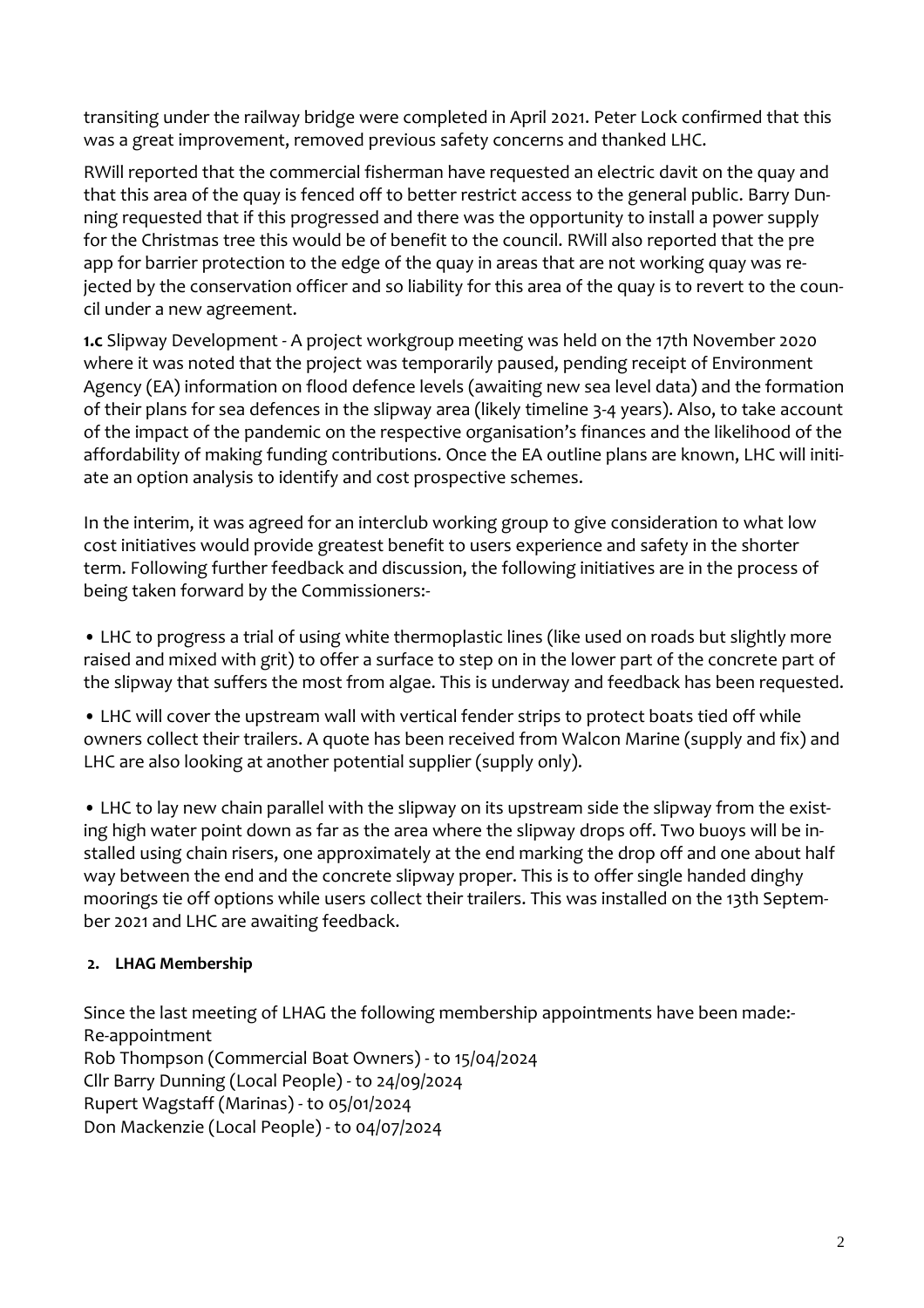transiting under the railway bridge were completed in April 2021. Peter Lock confirmed that this was a great improvement, removed previous safety concerns and thanked LHC.

RWill reported that the commercial fisherman have requested an electric davit on the quay and that this area of the quay is fenced off to better restrict access to the general public. Barry Dunning requested that if this progressed and there was the opportunity to install a power supply for the Christmas tree this would be of benefit to the council. RWill also reported that the pre app for barrier protection to the edge of the quay in areas that are not working quay was rejected by the conservation officer and so liability for this area of the quay is to revert to the council under a new agreement.

**1.c** Slipway Development - A project workgroup meeting was held on the 17th November 2020 where it was noted that the project was temporarily paused, pending receipt of Environment Agency (EA) information on flood defence levels (awaiting new sea level data) and the formation of their plans for sea defences in the slipway area (likely timeline 3-4 years). Also, to take account of the impact of the pandemic on the respective organisation's finances and the likelihood of the affordability of making funding contributions. Once the EA outline plans are known, LHC will initiate an option analysis to identify and cost prospective schemes.

In the interim, it was agreed for an interclub working group to give consideration to what low cost initiatives would provide greatest benefit to users experience and safety in the shorter term. Following further feedback and discussion, the following initiatives are in the process of being taken forward by the Commissioners:-

• LHC to progress a trial of using white thermoplastic lines (like used on roads but slightly more raised and mixed with grit) to offer a surface to step on in the lower part of the concrete part of the slipway that suffers the most from algae. This is underway and feedback has been requested.

• LHC will cover the upstream wall with vertical fender strips to protect boats tied off while owners collect their trailers. A quote has been received from Walcon Marine (supply and fix) and LHC are also looking at another potential supplier (supply only).

• LHC to lay new chain parallel with the slipway on its upstream side the slipway from the existing high water point down as far as the area where the slipway drops off. Two buoys will be installed using chain risers, one approximately at the end marking the drop off and one about half way between the end and the concrete slipway proper. This is to offer single handed dinghy moorings tie off options while users collect their trailers. This was installed on the 13th September 2021 and LHC are awaiting feedback.

### **2. LHAG Membership**

Since the last meeting of LHAG the following membership appointments have been made:- Re-appointment Rob Thompson (Commercial Boat Owners) - to 15/04/2024 Cllr Barry Dunning (Local People) - to 24/09/2024 Rupert Wagstaff (Marinas) - to 05/01/2024 Don Mackenzie (Local People) - to 04/07/2024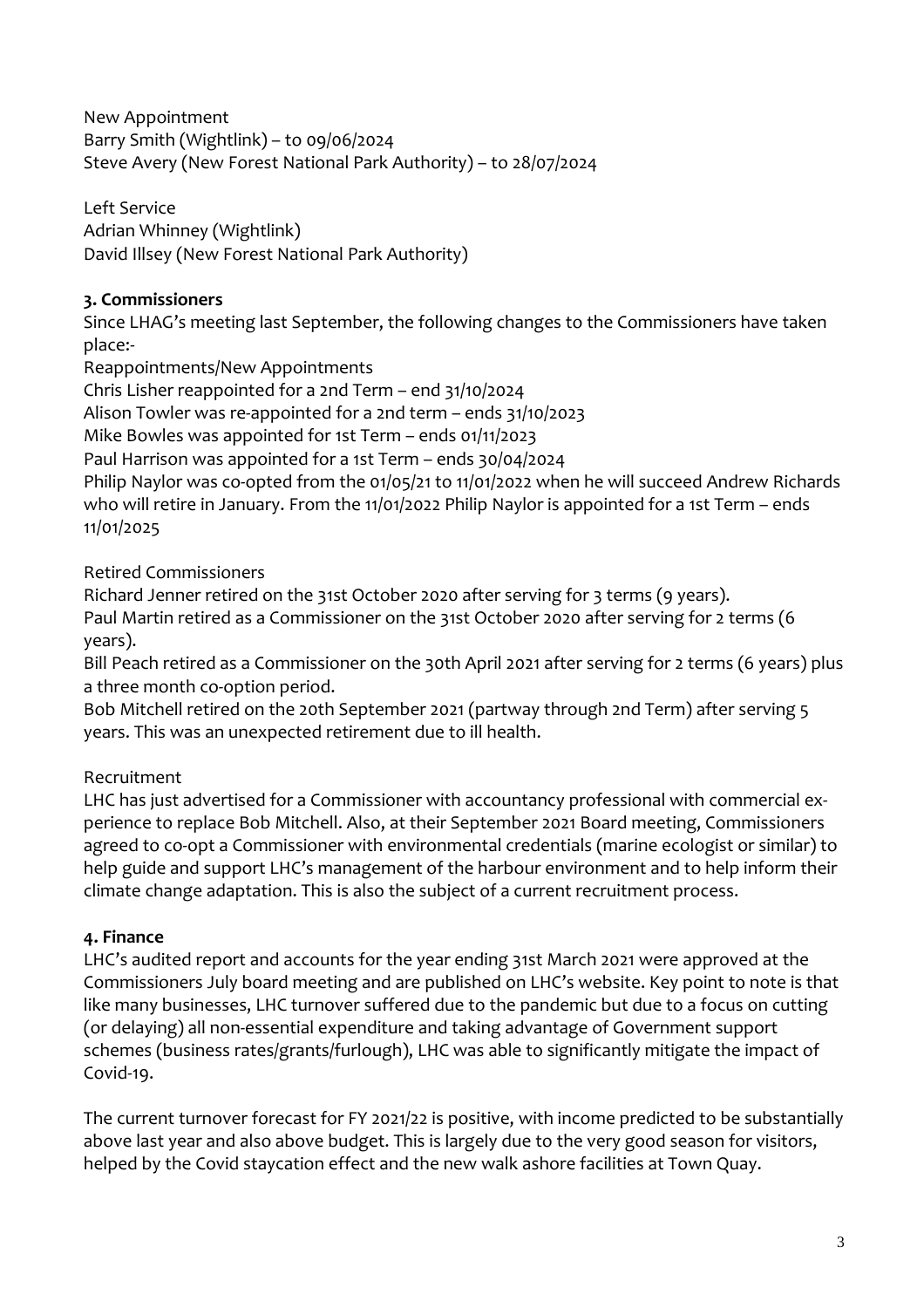New Appointment Barry Smith (Wightlink) – to 09/06/2024 Steve Avery (New Forest National Park Authority) – to 28/07/2024

Left Service Adrian Whinney (Wightlink) David Illsey (New Forest National Park Authority)

# **3. Commissioners**

Since LHAG's meeting last September, the following changes to the Commissioners have taken place:-

Reappointments/New Appointments

Chris Lisher reappointed for a 2nd Term – end 31/10/2024

Alison Towler was re-appointed for a 2nd term – ends 31/10/2023

Mike Bowles was appointed for 1st Term – ends 01/11/2023

Paul Harrison was appointed for a 1st Term – ends 30/04/2024

Philip Naylor was co-opted from the 01/05/21 to 11/01/2022 when he will succeed Andrew Richards who will retire in January. From the 11/01/2022 Philip Naylor is appointed for a 1st Term - ends 11/01/2025

Retired Commissioners

Richard Jenner retired on the 31st October 2020 after serving for 3 terms (9 years). Paul Martin retired as a Commissioner on the 31st October 2020 after serving for 2 terms (6 years).

Bill Peach retired as a Commissioner on the 30th April 2021 after serving for 2 terms (6 years) plus a three month co-option period.

Bob Mitchell retired on the 20th September 2021 (partway through 2nd Term) after serving 5 years. This was an unexpected retirement due to ill health.

# Recruitment

LHC has just advertised for a Commissioner with accountancy professional with commercial experience to replace Bob Mitchell. Also, at their September 2021 Board meeting, Commissioners agreed to co-opt a Commissioner with environmental credentials (marine ecologist or similar) to help guide and support LHC's management of the harbour environment and to help inform their climate change adaptation. This is also the subject of a current recruitment process.

## **4. Finance**

LHC's audited report and accounts for the year ending 31st March 2021 were approved at the Commissioners July board meeting and are published on LHC's website. Key point to note is that like many businesses, LHC turnover suffered due to the pandemic but due to a focus on cutting (or delaying) all non-essential expenditure and taking advantage of Government support schemes (business rates/grants/furlough), LHC was able to significantly mitigate the impact of Covid-19.

The current turnover forecast for FY 2021/22 is positive, with income predicted to be substantially above last year and also above budget. This is largely due to the very good season for visitors, helped by the Covid staycation effect and the new walk ashore facilities at Town Quay.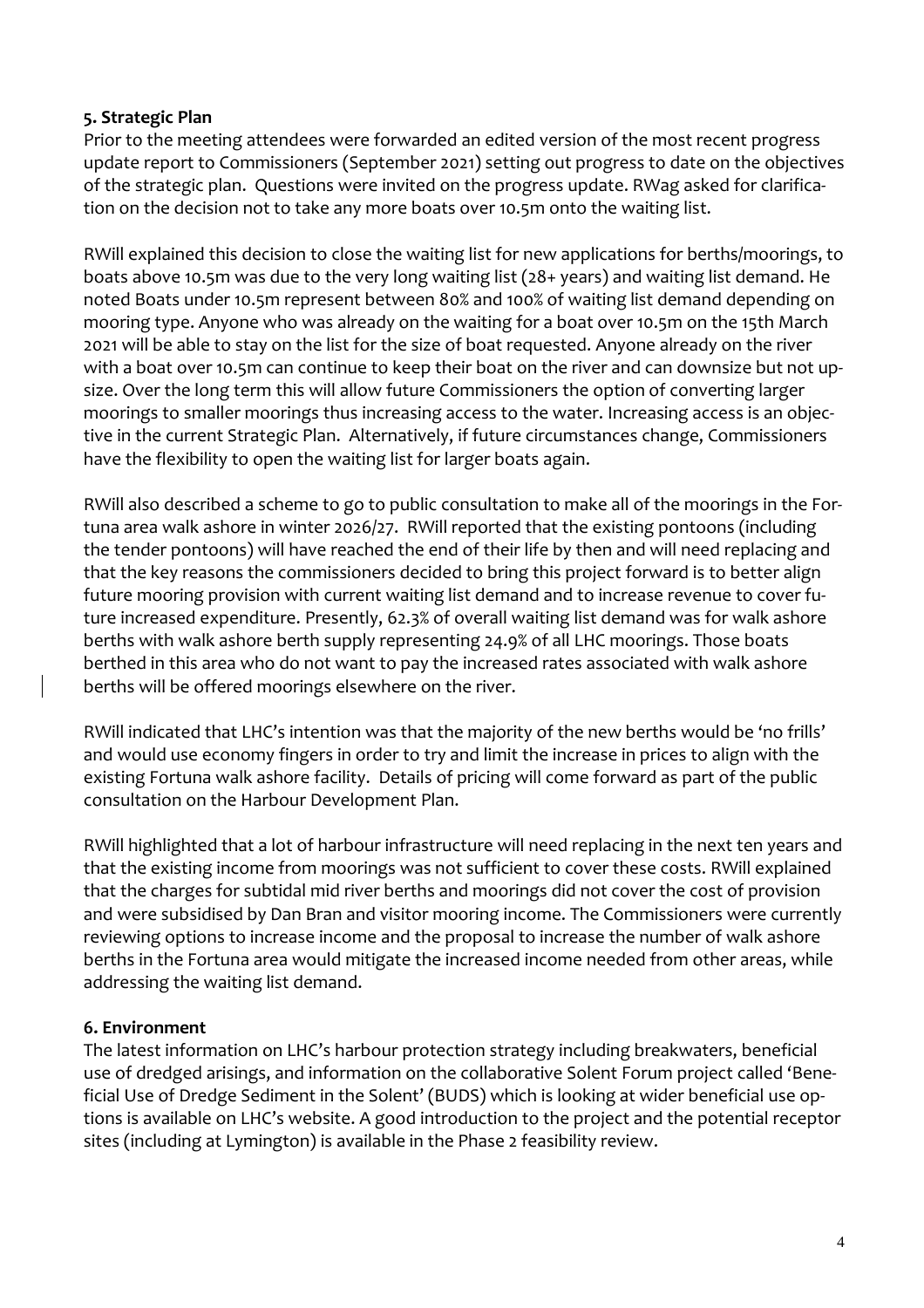### **5. Strategic Plan**

Prior to the meeting attendees were forwarded an edited version of the most recent progress update report to Commissioners (September 2021) setting out progress to date on the objectives of the strategic plan. Questions were invited on the progress update. RWag asked for clarification on the decision not to take any more boats over 10.5m onto the waiting list.

RWill explained this decision to close the waiting list for new applications for berths/moorings, to boats above 10.5m was due to the very long waiting list (28+ years) and waiting list demand. He noted Boats under 10.5m represent between 80% and 100% of waiting list demand depending on mooring type. Anyone who was already on the waiting for a boat over 10.5m on the 15th March 2021 will be able to stay on the list for the size of boat requested. Anyone already on the river with a boat over 10.5m can continue to keep their boat on the river and can downsize but not upsize. Over the long term this will allow future Commissioners the option of converting larger moorings to smaller moorings thus increasing access to the water. Increasing access is an objective in the current Strategic Plan. Alternatively, if future circumstances change, Commissioners have the flexibility to open the waiting list for larger boats again.

RWill also described a scheme to go to public consultation to make all of the moorings in the Fortuna area walk ashore in winter 2026/27. RWill reported that the existing pontoons (including the tender pontoons) will have reached the end of their life by then and will need replacing and that the key reasons the commissioners decided to bring this project forward is to better align future mooring provision with current waiting list demand and to increase revenue to cover future increased expenditure. Presently, 62.3% of overall waiting list demand was for walk ashore berths with walk ashore berth supply representing 24.9% of all LHC moorings. Those boats berthed in this area who do not want to pay the increased rates associated with walk ashore berths will be offered moorings elsewhere on the river.

RWill indicated that LHC's intention was that the majority of the new berths would be 'no frills' and would use economy fingers in order to try and limit the increase in prices to align with the existing Fortuna walk ashore facility. Details of pricing will come forward as part of the public consultation on the Harbour Development Plan.

RWill highlighted that a lot of harbour infrastructure will need replacing in the next ten years and that the existing income from moorings was not sufficient to cover these costs. RWill explained that the charges for subtidal mid river berths and moorings did not cover the cost of provision and were subsidised by Dan Bran and visitor mooring income. The Commissioners were currently reviewing options to increase income and the proposal to increase the number of walk ashore berths in the Fortuna area would mitigate the increased income needed from other areas, while addressing the waiting list demand.

### **6. Environment**

The latest information on LHC's harbour protection strategy including breakwaters, beneficial use of dredged arisings, and information on the collaborative Solent Forum project called 'Beneficial Use of Dredge Sediment in the Solent' (BUDS) which is looking at wider beneficial use options is available on LHC's website. A good introduction to the project and the potential receptor sites (including at Lymington) is available in the Phase 2 feasibility review.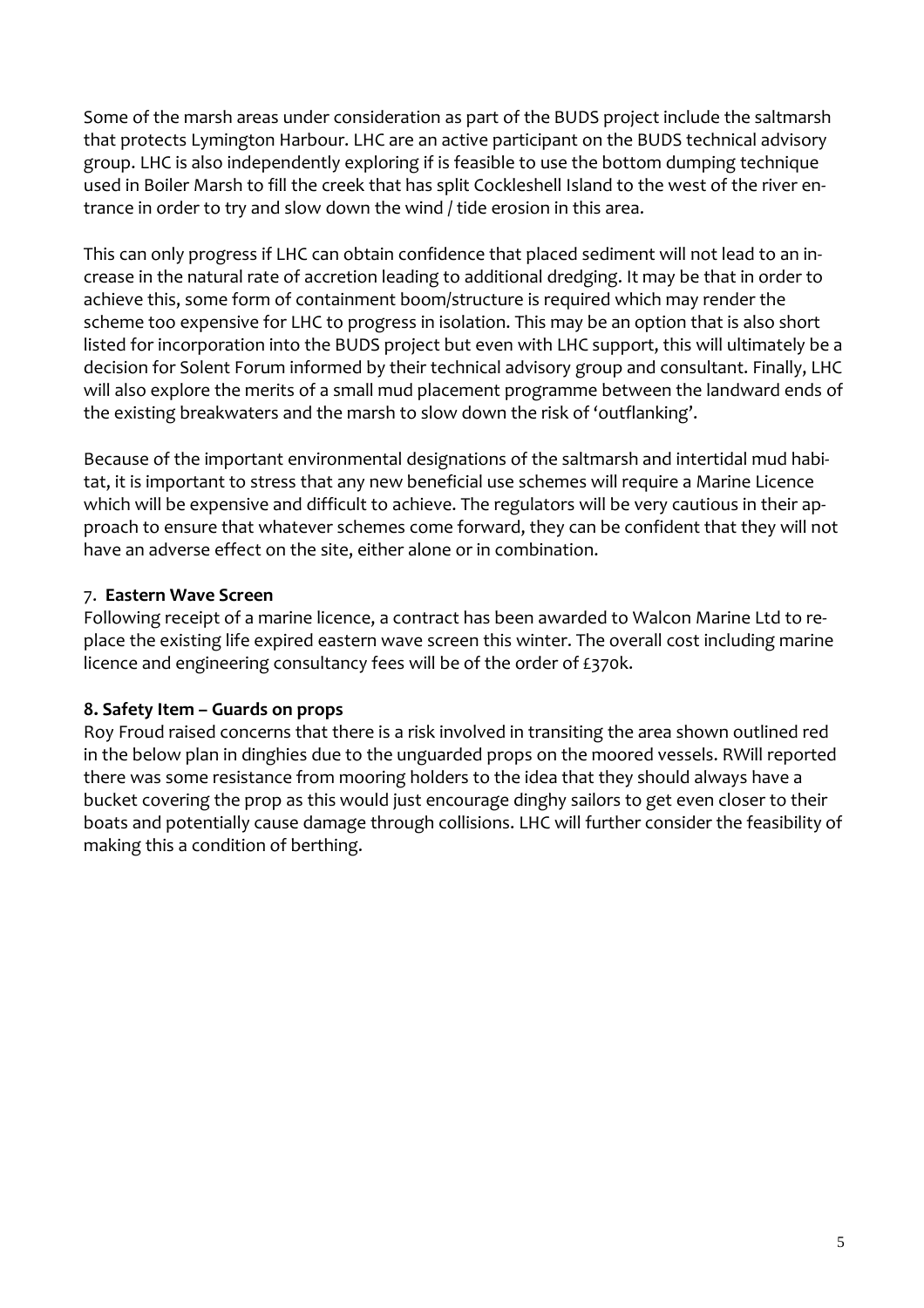Some of the marsh areas under consideration as part of the BUDS project include the saltmarsh that protects Lymington Harbour. LHC are an active participant on the BUDS technical advisory group. LHC is also independently exploring if is feasible to use the bottom dumping technique used in Boiler Marsh to fill the creek that has split Cockleshell Island to the west of the river entrance in order to try and slow down the wind / tide erosion in this area.

This can only progress if LHC can obtain confidence that placed sediment will not lead to an increase in the natural rate of accretion leading to additional dredging. It may be that in order to achieve this, some form of containment boom/structure is required which may render the scheme too expensive for LHC to progress in isolation. This may be an option that is also short listed for incorporation into the BUDS project but even with LHC support, this will ultimately be a decision for Solent Forum informed by their technical advisory group and consultant. Finally, LHC will also explore the merits of a small mud placement programme between the landward ends of the existing breakwaters and the marsh to slow down the risk of 'outflanking'.

Because of the important environmental designations of the saltmarsh and intertidal mud habitat, it is important to stress that any new beneficial use schemes will require a Marine Licence which will be expensive and difficult to achieve. The regulators will be very cautious in their approach to ensure that whatever schemes come forward, they can be confident that they will not have an adverse effect on the site, either alone or in combination.

### 7. **Eastern Wave Screen**

Following receipt of a marine licence, a contract has been awarded to Walcon Marine Ltd to replace the existing life expired eastern wave screen this winter. The overall cost including marine licence and engineering consultancy fees will be of the order of £370k.

### **8. Safety Item – Guards on props**

Roy Froud raised concerns that there is a risk involved in transiting the area shown outlined red in the below plan in dinghies due to the unguarded props on the moored vessels. RWill reported there was some resistance from mooring holders to the idea that they should always have a bucket covering the prop as this would just encourage dinghy sailors to get even closer to their boats and potentially cause damage through collisions. LHC will further consider the feasibility of making this a condition of berthing.